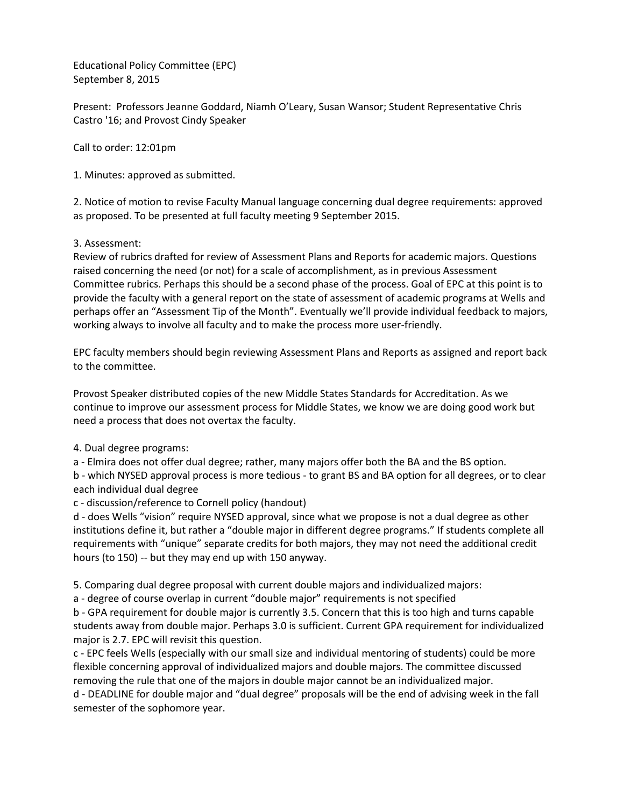Educational Policy Committee (EPC) September 8, 2015

Present: Professors Jeanne Goddard, Niamh O'Leary, Susan Wansor; Student Representative Chris Castro '16; and Provost Cindy Speaker

Call to order: 12:01pm

1. Minutes: approved as submitted.

2. Notice of motion to revise Faculty Manual language concerning dual degree requirements: approved as proposed. To be presented at full faculty meeting 9 September 2015.

## 3. Assessment:

Review of rubrics drafted for review of Assessment Plans and Reports for academic majors. Questions raised concerning the need (or not) for a scale of accomplishment, as in previous Assessment Committee rubrics. Perhaps this should be a second phase of the process. Goal of EPC at this point is to provide the faculty with a general report on the state of assessment of academic programs at Wells and perhaps offer an "Assessment Tip of the Month". Eventually we'll provide individual feedback to majors, working always to involve all faculty and to make the process more user-friendly.

EPC faculty members should begin reviewing Assessment Plans and Reports as assigned and report back to the committee.

Provost Speaker distributed copies of the new Middle States Standards for Accreditation. As we continue to improve our assessment process for Middle States, we know we are doing good work but need a process that does not overtax the faculty.

## 4. Dual degree programs:

a - Elmira does not offer dual degree; rather, many majors offer both the BA and the BS option.

b - which NYSED approval process is more tedious - to grant BS and BA option for all degrees, or to clear each individual dual degree

c - discussion/reference to Cornell policy (handout)

d - does Wells "vision" require NYSED approval, since what we propose is not a dual degree as other institutions define it, but rather a "double major in different degree programs." If students complete all requirements with "unique" separate credits for both majors, they may not need the additional credit hours (to 150) -- but they may end up with 150 anyway.

5. Comparing dual degree proposal with current double majors and individualized majors:

a - degree of course overlap in current "double major" requirements is not specified

b - GPA requirement for double major is currently 3.5. Concern that this is too high and turns capable students away from double major. Perhaps 3.0 is sufficient. Current GPA requirement for individualized major is 2.7. EPC will revisit this question.

c - EPC feels Wells (especially with our small size and individual mentoring of students) could be more flexible concerning approval of individualized majors and double majors. The committee discussed removing the rule that one of the majors in double major cannot be an individualized major.

d - DEADLINE for double major and "dual degree" proposals will be the end of advising week in the fall semester of the sophomore year.